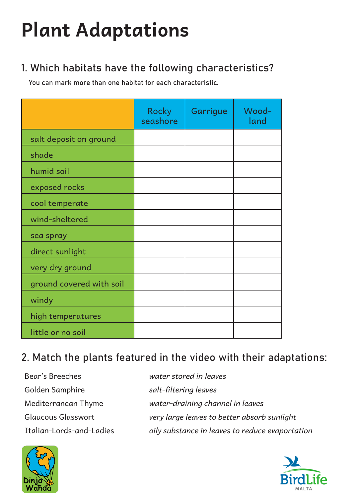## **Plant Adaptations**

## 1. Which habitats have the following characteristics?

You can mark more than one habitat for each characteristic.

|                          | <b>Rocky</b><br>seashore | Garrigue | Wood-<br>land |
|--------------------------|--------------------------|----------|---------------|
| salt deposit on ground   |                          |          |               |
| shade                    |                          |          |               |
| humid soil               |                          |          |               |
| exposed rocks            |                          |          |               |
| cool temperate           |                          |          |               |
| wind-sheltered           |                          |          |               |
| sea spray                |                          |          |               |
| direct sunlight          |                          |          |               |
| very dry ground          |                          |          |               |
| ground covered with soil |                          |          |               |
| windy                    |                          |          |               |
| high temperatures        |                          |          |               |
| little or no soil        |                          |          |               |

## 2. Match the plants featured in the video with their adaptations:

| Bear's Breeches          | water stored in leaves                          |
|--------------------------|-------------------------------------------------|
| Golden Samphire          | salt-filtering leaves                           |
| Mediterranean Thyme      | water-draining channel in leaves                |
| Glaucous Glasswort       | very large leaves to better absorb sunlight     |
| Italian-Lords-and-Ladies | oily substance in leaves to reduce evaportation |